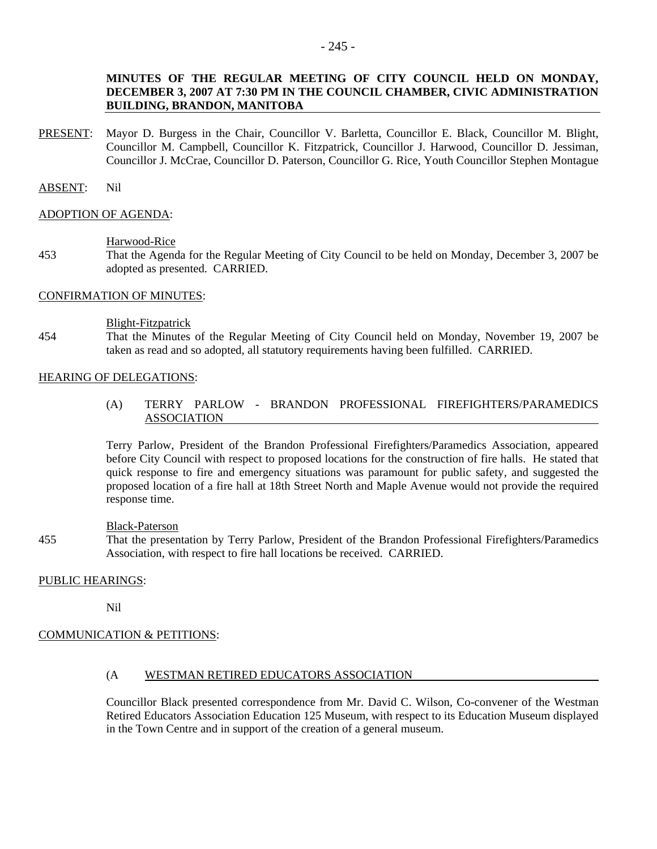# **MINUTES OF THE REGULAR MEETING OF CITY COUNCIL HELD ON MONDAY, DECEMBER 3, 2007 AT 7:30 PM IN THE COUNCIL CHAMBER, CIVIC ADMINISTRATION BUILDING, BRANDON, MANITOBA**

PRESENT: Mayor D. Burgess in the Chair, Councillor V. Barletta, Councillor E. Black, Councillor M. Blight, Councillor M. Campbell, Councillor K. Fitzpatrick, Councillor J. Harwood, Councillor D. Jessiman, Councillor J. McCrae, Councillor D. Paterson, Councillor G. Rice, Youth Councillor Stephen Montague

#### ABSENT: Nil

#### ADOPTION OF AGENDA:

#### Harwood-Rice

453 That the Agenda for the Regular Meeting of City Council to be held on Monday, December 3, 2007 be adopted as presented. CARRIED.

# CONFIRMATION OF MINUTES:

#### Blight-Fitzpatrick

454 That the Minutes of the Regular Meeting of City Council held on Monday, November 19, 2007 be taken as read and so adopted, all statutory requirements having been fulfilled. CARRIED.

## HEARING OF DELEGATIONS:

(A) TERRY PARLOW - BRANDON PROFESSIONAL FIREFIGHTERS/PARAMEDICS ASSOCIATION

Terry Parlow, President of the Brandon Professional Firefighters/Paramedics Association, appeared before City Council with respect to proposed locations for the construction of fire halls. He stated that quick response to fire and emergency situations was paramount for public safety, and suggested the proposed location of a fire hall at 18th Street North and Maple Avenue would not provide the required response time.

#### Black-Paterson

455 That the presentation by Terry Parlow, President of the Brandon Professional Firefighters/Paramedics Association, with respect to fire hall locations be received. CARRIED.

## PUBLIC HEARINGS:

Nil

# COMMUNICATION & PETITIONS:

## (A WESTMAN RETIRED EDUCATORS ASSOCIATION

Councillor Black presented correspondence from Mr. David C. Wilson, Co-convener of the Westman Retired Educators Association Education 125 Museum, with respect to its Education Museum displayed in the Town Centre and in support of the creation of a general museum.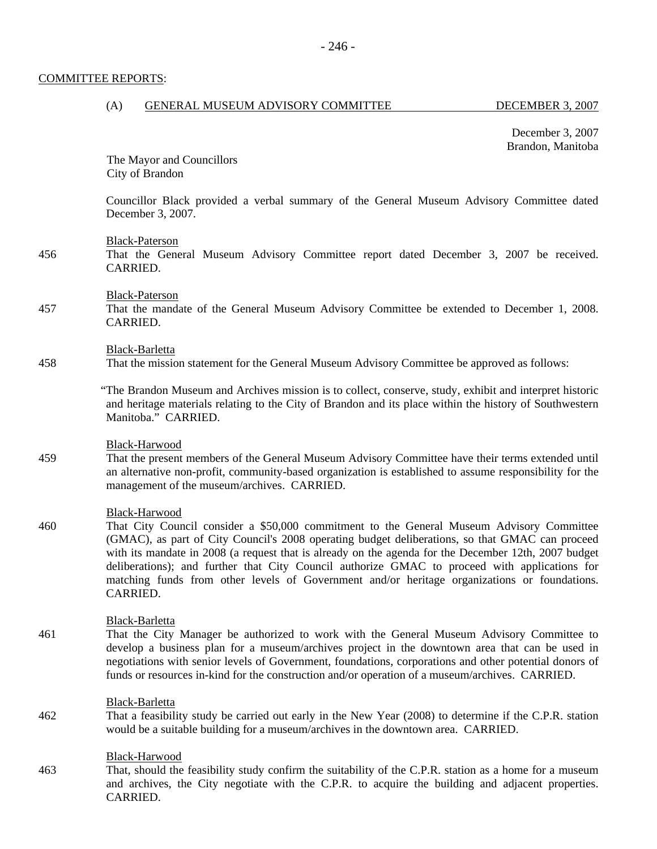## COMMITTEE REPORTS:

# (A) GENERAL MUSEUM ADVISORY COMMITTEE DECEMBER 3, 2007

December 3, 2007 Brandon, Manitoba

 The Mayor and Councillors City of Brandon

Councillor Black provided a verbal summary of the General Museum Advisory Committee dated December 3, 2007.

#### Black-Paterson

456 That the General Museum Advisory Committee report dated December 3, 2007 be received. **CARRIED.** 

#### Black-Paterson

457 That the mandate of the General Museum Advisory Committee be extended to December 1, 2008. CARRIED.

#### Black-Barletta

458 That the mission statement for the General Museum Advisory Committee be approved as follows:

"The Brandon Museum and Archives mission is to collect, conserve, study, exhibit and interpret historic and heritage materials relating to the City of Brandon and its place within the history of Southwestern Manitoba." CARRIED.

#### Black-Harwood

459 That the present members of the General Museum Advisory Committee have their terms extended until an alternative non-profit, community-based organization is established to assume responsibility for the management of the museum/archives. CARRIED.

## Black-Harwood

460 That City Council consider a \$50,000 commitment to the General Museum Advisory Committee (GMAC), as part of City Council's 2008 operating budget deliberations, so that GMAC can proceed with its mandate in 2008 (a request that is already on the agenda for the December 12th, 2007 budget deliberations); and further that City Council authorize GMAC to proceed with applications for matching funds from other levels of Government and/or heritage organizations or foundations. CARRIED.

#### Black-Barletta

461 That the City Manager be authorized to work with the General Museum Advisory Committee to develop a business plan for a museum/archives project in the downtown area that can be used in negotiations with senior levels of Government, foundations, corporations and other potential donors of funds or resources in-kind for the construction and/or operation of a museum/archives. CARRIED.

#### Black-Barletta

462 That a feasibility study be carried out early in the New Year (2008) to determine if the C.P.R. station would be a suitable building for a museum/archives in the downtown area. CARRIED.

#### Black-Harwood

463 That, should the feasibility study confirm the suitability of the C.P.R. station as a home for a museum and archives, the City negotiate with the C.P.R. to acquire the building and adjacent properties. CARRIED.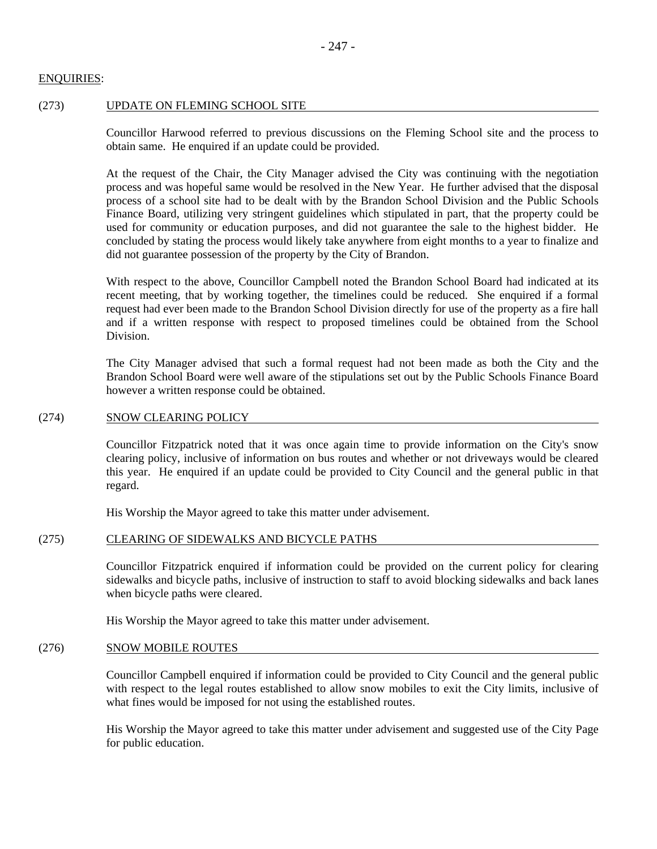# ENQUIRIES:

## (273) UPDATE ON FLEMING SCHOOL SITE

Councillor Harwood referred to previous discussions on the Fleming School site and the process to obtain same. He enquired if an update could be provided.

At the request of the Chair, the City Manager advised the City was continuing with the negotiation process and was hopeful same would be resolved in the New Year. He further advised that the disposal process of a school site had to be dealt with by the Brandon School Division and the Public Schools Finance Board, utilizing very stringent guidelines which stipulated in part, that the property could be used for community or education purposes, and did not guarantee the sale to the highest bidder. He concluded by stating the process would likely take anywhere from eight months to a year to finalize and did not guarantee possession of the property by the City of Brandon.

With respect to the above, Councillor Campbell noted the Brandon School Board had indicated at its recent meeting, that by working together, the timelines could be reduced. She enquired if a formal request had ever been made to the Brandon School Division directly for use of the property as a fire hall and if a written response with respect to proposed timelines could be obtained from the School Division.

The City Manager advised that such a formal request had not been made as both the City and the Brandon School Board were well aware of the stipulations set out by the Public Schools Finance Board however a written response could be obtained.

#### (274) SNOW CLEARING POLICY

Councillor Fitzpatrick noted that it was once again time to provide information on the City's snow clearing policy, inclusive of information on bus routes and whether or not driveways would be cleared this year. He enquired if an update could be provided to City Council and the general public in that regard.

His Worship the Mayor agreed to take this matter under advisement.

## (275) CLEARING OF SIDEWALKS AND BICYCLE PATHS

Councillor Fitzpatrick enquired if information could be provided on the current policy for clearing sidewalks and bicycle paths, inclusive of instruction to staff to avoid blocking sidewalks and back lanes when bicycle paths were cleared.

His Worship the Mayor agreed to take this matter under advisement.

#### (276) SNOW MOBILE ROUTES

Councillor Campbell enquired if information could be provided to City Council and the general public with respect to the legal routes established to allow snow mobiles to exit the City limits, inclusive of what fines would be imposed for not using the established routes.

His Worship the Mayor agreed to take this matter under advisement and suggested use of the City Page for public education.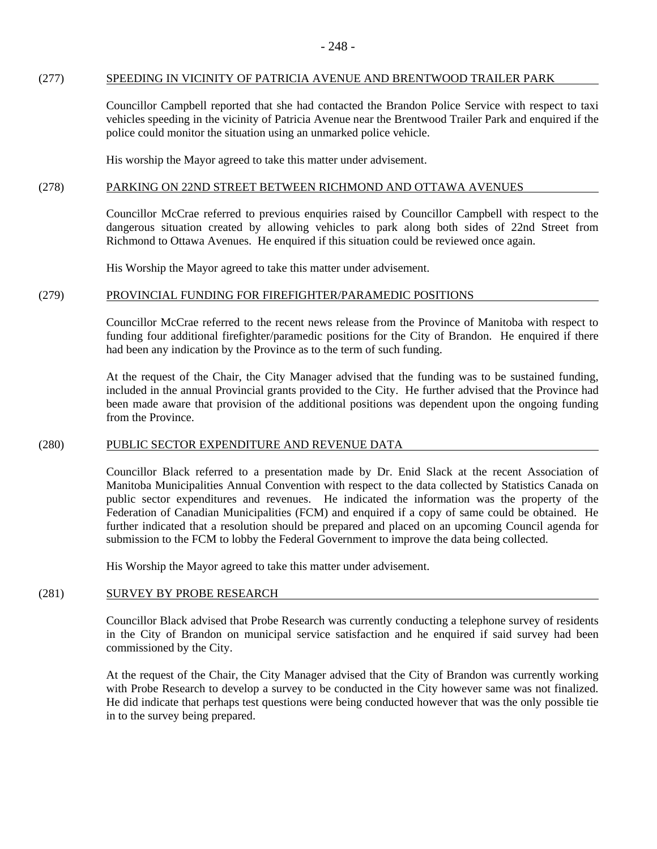## (277) SPEEDING IN VICINITY OF PATRICIA AVENUE AND BRENTWOOD TRAILER PARK

Councillor Campbell reported that she had contacted the Brandon Police Service with respect to taxi vehicles speeding in the vicinity of Patricia Avenue near the Brentwood Trailer Park and enquired if the police could monitor the situation using an unmarked police vehicle.

His worship the Mayor agreed to take this matter under advisement.

# (278) PARKING ON 22ND STREET BETWEEN RICHMOND AND OTTAWA AVENUES

Councillor McCrae referred to previous enquiries raised by Councillor Campbell with respect to the dangerous situation created by allowing vehicles to park along both sides of 22nd Street from Richmond to Ottawa Avenues. He enquired if this situation could be reviewed once again.

His Worship the Mayor agreed to take this matter under advisement.

# (279) PROVINCIAL FUNDING FOR FIREFIGHTER/PARAMEDIC POSITIONS

Councillor McCrae referred to the recent news release from the Province of Manitoba with respect to funding four additional firefighter/paramedic positions for the City of Brandon. He enquired if there had been any indication by the Province as to the term of such funding.

At the request of the Chair, the City Manager advised that the funding was to be sustained funding, included in the annual Provincial grants provided to the City. He further advised that the Province had been made aware that provision of the additional positions was dependent upon the ongoing funding from the Province.

## (280) PUBLIC SECTOR EXPENDITURE AND REVENUE DATA

Councillor Black referred to a presentation made by Dr. Enid Slack at the recent Association of Manitoba Municipalities Annual Convention with respect to the data collected by Statistics Canada on public sector expenditures and revenues. He indicated the information was the property of the Federation of Canadian Municipalities (FCM) and enquired if a copy of same could be obtained. He further indicated that a resolution should be prepared and placed on an upcoming Council agenda for submission to the FCM to lobby the Federal Government to improve the data being collected.

His Worship the Mayor agreed to take this matter under advisement.

## (281) SURVEY BY PROBE RESEARCH

Councillor Black advised that Probe Research was currently conducting a telephone survey of residents in the City of Brandon on municipal service satisfaction and he enquired if said survey had been commissioned by the City.

At the request of the Chair, the City Manager advised that the City of Brandon was currently working with Probe Research to develop a survey to be conducted in the City however same was not finalized. He did indicate that perhaps test questions were being conducted however that was the only possible tie in to the survey being prepared.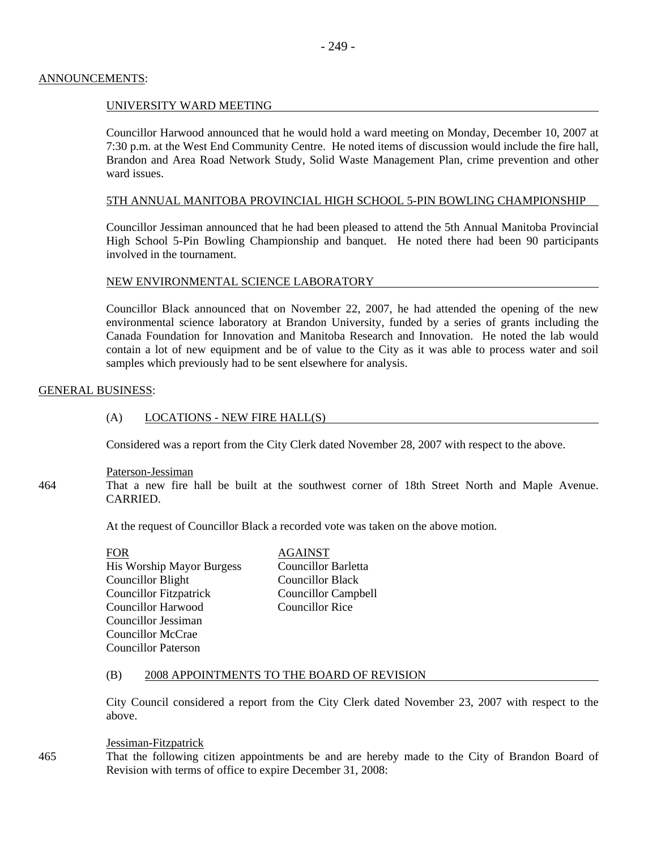## ANNOUNCEMENTS:

# UNIVERSITY WARD MEETING

Councillor Harwood announced that he would hold a ward meeting on Monday, December 10, 2007 at 7:30 p.m. at the West End Community Centre. He noted items of discussion would include the fire hall, Brandon and Area Road Network Study, Solid Waste Management Plan, crime prevention and other ward issues.

# 5TH ANNUAL MANITOBA PROVINCIAL HIGH SCHOOL 5-PIN BOWLING CHAMPIONSHIP

Councillor Jessiman announced that he had been pleased to attend the 5th Annual Manitoba Provincial High School 5-Pin Bowling Championship and banquet. He noted there had been 90 participants involved in the tournament.

## NEW ENVIRONMENTAL SCIENCE LABORATORY

Councillor Black announced that on November 22, 2007, he had attended the opening of the new environmental science laboratory at Brandon University, funded by a series of grants including the Canada Foundation for Innovation and Manitoba Research and Innovation. He noted the lab would contain a lot of new equipment and be of value to the City as it was able to process water and soil samples which previously had to be sent elsewhere for analysis.

## GENERAL BUSINESS:

## (A) LOCATIONS - NEW FIRE HALL(S)

Considered was a report from the City Clerk dated November 28, 2007 with respect to the above.

## Paterson-Jessiman

464 That a new fire hall be built at the southwest corner of 18th Street North and Maple Avenue. CARRIED.

At the request of Councillor Black a recorded vote was taken on the above motion.

FOR AGAINST His Worship Mayor Burgess Councillor Barletta Councillor Blight Councillor Black Councillor Fitzpatrick Councillor Campbell Councillor Harwood Councillor Rice Councillor Jessiman Councillor McCrae Councillor Paterson

## (B) 2008 APPOINTMENTS TO THE BOARD OF REVISION

City Council considered a report from the City Clerk dated November 23, 2007 with respect to the above.

#### Jessiman-Fitzpatrick

465 That the following citizen appointments be and are hereby made to the City of Brandon Board of Revision with terms of office to expire December 31, 2008: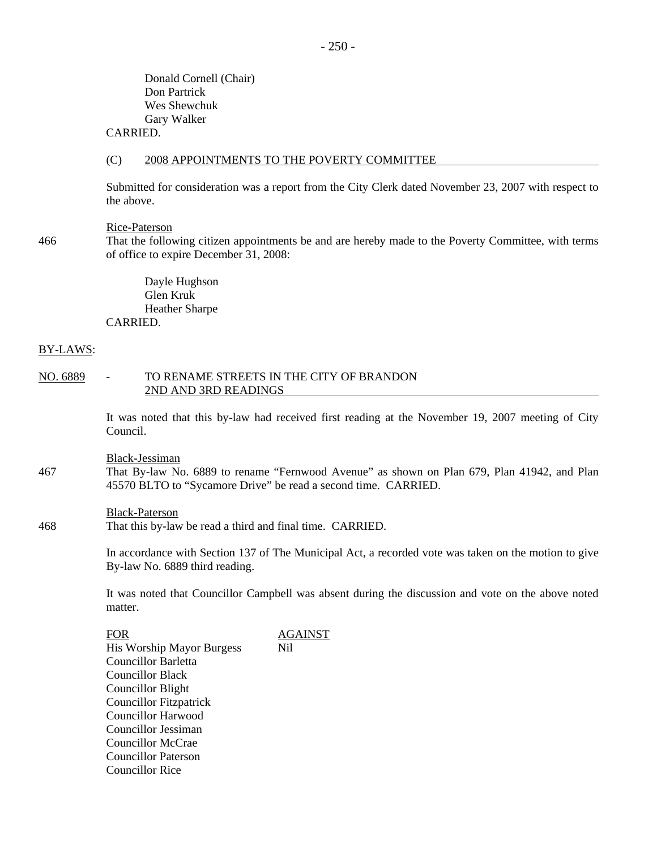Donald Cornell (Chair) Don Partrick Wes Shewchuk Gary Walker

# CARRIED.

#### (C) 2008 APPOINTMENTS TO THE POVERTY COMMITTEE

Submitted for consideration was a report from the City Clerk dated November 23, 2007 with respect to the above.

#### Rice-Paterson

466 That the following citizen appointments be and are hereby made to the Poverty Committee, with terms of office to expire December 31, 2008:

> Dayle Hughson Glen Kruk Heather Sharpe CARRIED.

#### BY-LAWS:

#### NO. 6889 - TO RENAME STREETS IN THE CITY OF BRANDON 2ND AND 3RD READINGS

It was noted that this by-law had received first reading at the November 19, 2007 meeting of City Council.

Black-Jessiman

467 That By-law No. 6889 to rename "Fernwood Avenue" as shown on Plan 679, Plan 41942, and Plan 45570 BLTO to "Sycamore Drive" be read a second time. CARRIED.

#### Black-Paterson

468 That this by-law be read a third and final time. CARRIED.

In accordance with Section 137 of The Municipal Act, a recorded vote was taken on the motion to give By-law No. 6889 third reading.

It was noted that Councillor Campbell was absent during the discussion and vote on the above noted matter.

FOR AGAINST His Worship Mayor Burgess Nil Councillor Barletta Councillor Black Councillor Blight Councillor Fitzpatrick Councillor Harwood Councillor Jessiman Councillor McCrae Councillor Paterson Councillor Rice